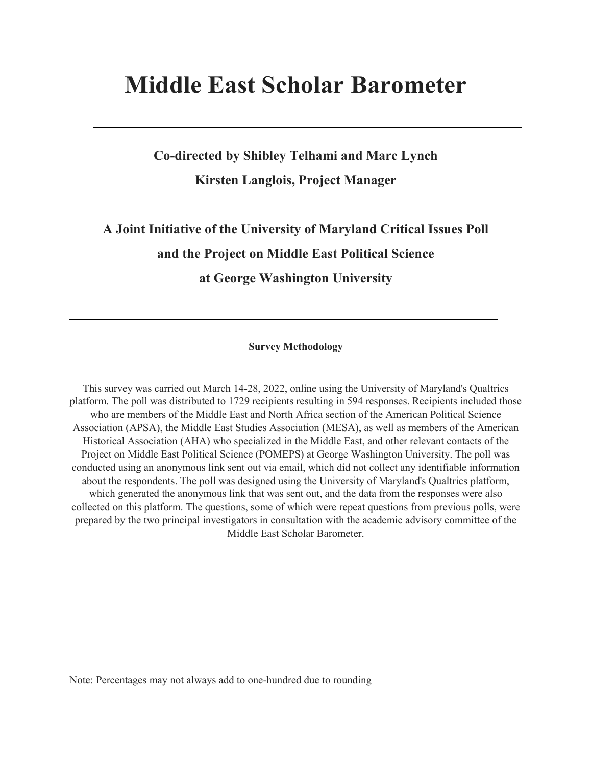# **Middle East Scholar Barometer**

## **Co-directed by Shibley Telhami and Marc Lynch Kirsten Langlois, Project Manager**

## **A Joint Initiative of the University of Maryland Critical Issues Poll and the Project on Middle East Political Science at George Washington University**

#### **Survey Methodology**

This survey was carried out March 14-28, 2022, online using the University of Maryland's Qualtrics platform. The poll was distributed to 1729 recipients resulting in 594 responses. Recipients included those who are members of the Middle East and North Africa section of the American Political Science Association (APSA), the Middle East Studies Association (MESA), as well as members of the American Historical Association (AHA) who specialized in the Middle East, and other relevant contacts of the Project on Middle East Political Science (POMEPS) at George Washington University. The poll was conducted using an anonymous link sent out via email, which did not collect any identifiable information about the respondents. The poll was designed using the University of Maryland's Qualtrics platform, which generated the anonymous link that was sent out, and the data from the responses were also collected on this platform. The questions, some of which were repeat questions from previous polls, were prepared by the two principal investigators in consultation with the academic advisory committee of the Middle East Scholar Barometer.

Note: Percentages may not always add to one-hundred due to rounding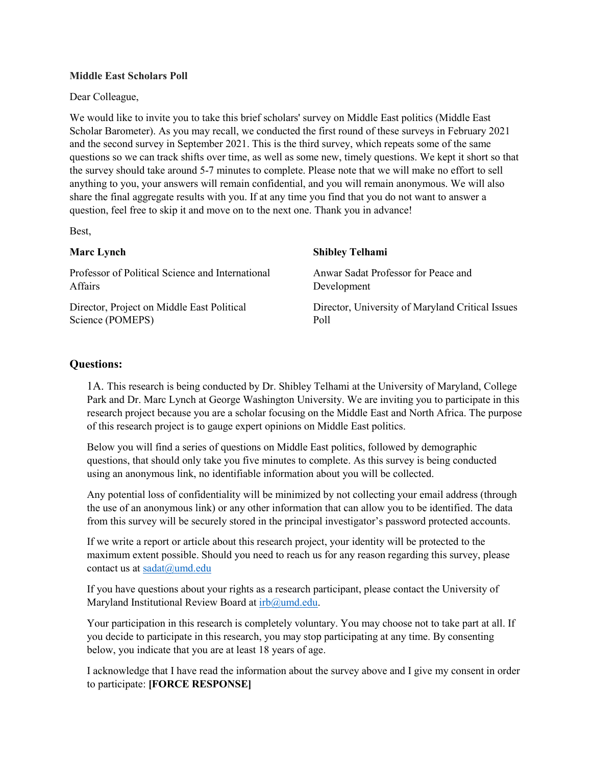#### **Middle East Scholars Poll**

Dear Colleague,

We would like to invite you to take this brief scholars' survey on Middle East politics (Middle East Scholar Barometer). As you may recall, we conducted the first round of these surveys in February 2021 and the second survey in September 2021. This is the third survey, which repeats some of the same questions so we can track shifts over time, as well as some new, timely questions. We kept it short so that the survey should take around 5-7 minutes to complete. Please note that we will make no effort to sell anything to you, your answers will remain confidential, and you will remain anonymous. We will also share the final aggregate results with you. If at any time you find that you do not want to answer a question, feel free to skip it and move on to the next one. Thank you in advance!

Best,

| <b>Marc Lynch</b>                                | <b>Shibley Telhami</b>                           |
|--------------------------------------------------|--------------------------------------------------|
| Professor of Political Science and International | Anwar Sadat Professor for Peace and              |
| Affairs                                          | Development                                      |
| Director, Project on Middle East Political       | Director, University of Maryland Critical Issues |
| Science (POMEPS)                                 | Poll                                             |

#### **Questions:**

1A. This research is being conducted by Dr. Shibley Telhami at the University of Maryland, College Park and Dr. Marc Lynch at George Washington University. We are inviting you to participate in this research project because you are a scholar focusing on the Middle East and North Africa. The purpose of this research project is to gauge expert opinions on Middle East politics.

Below you will find a series of questions on Middle East politics, followed by demographic questions, that should only take you five minutes to complete. As this survey is being conducted using an anonymous link, no identifiable information about you will be collected.

Any potential loss of confidentiality will be minimized by not collecting your email address (through the use of an anonymous link) or any other information that can allow you to be identified. The data from this survey will be securely stored in the principal investigator's password protected accounts.

If we write a report or article about this research project, your identity will be protected to the maximum extent possible. Should you need to reach us for any reason regarding this survey, please contact us at sadat@umd.edu

If you have questions about your rights as a research participant, please contact the University of Maryland Institutional Review Board at [irb@umd.edu.](mailto:irb@umd.edu)

Your participation in this research is completely voluntary. You may choose not to take part at all. If you decide to participate in this research, you may stop participating at any time. By consenting below, you indicate that you are at least 18 years of age.

I acknowledge that I have read the information about the survey above and I give my consent in order to participate: **[FORCE RESPONSE]**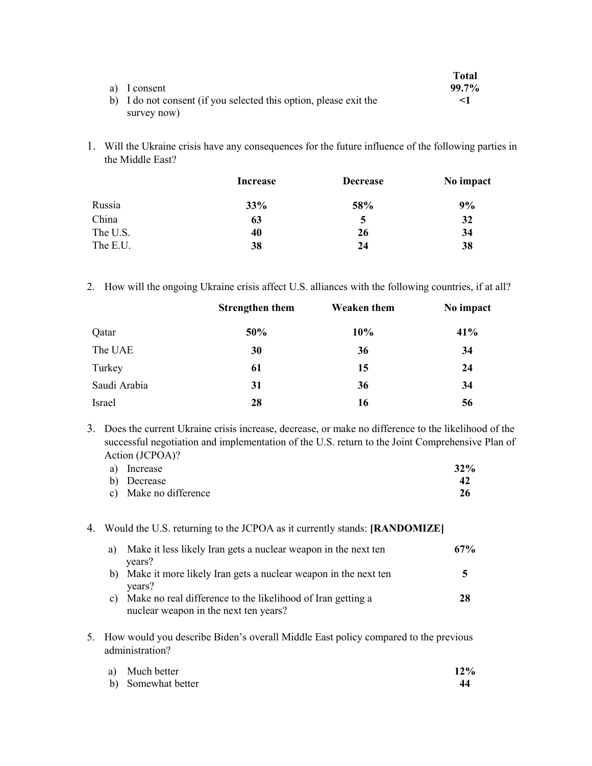|                                                                   | <b>Total</b> |
|-------------------------------------------------------------------|--------------|
| a) I consent                                                      | $99.7\%$     |
| b) I do not consent (if you selected this option, please exit the |              |
| survey now)                                                       |              |

1. Will the Ukraine crisis have any consequences for the future influence of the following parties in the Middle East?

|          | Increase | <b>Decrease</b> | No impact |
|----------|----------|-----------------|-----------|
| Russia   | 33%      | 58%             | 9%        |
| China    | 63       | 5               | 32        |
| The U.S. | 40       | 26              | 34        |
| The E.U. | 38       | 24              | 38        |

2. How will the ongoing Ukraine crisis affect U.S. alliances with the following countries, if at all?

|              | <b>Strengthen them</b> | <b>Weaken them</b> | No impact |
|--------------|------------------------|--------------------|-----------|
| Qatar        | 50%                    | 10%                | 41%       |
| The UAE      | 30                     | 36                 | 34        |
| Turkey       | 61                     | 15                 | 24        |
| Saudi Arabia | 31                     | 36                 | 34        |
| Israel       | 28                     | 16                 | 56        |

3. Does the current Ukraine crisis increase, decrease, or make no difference to the likelihood of the successful negotiation and implementation of the U.S. return to the Joint Comprehensive Plan of Action (JCPOA)?

| a) Increase           | 32% |
|-----------------------|-----|
| b) Decrease           |     |
| c) Make no difference | 26  |

#### 4. Would the U.S. returning to the JCPOA as it currently stands: **[RANDOMIZE]**

| a) | Make it less likely Iran gets a nuclear weapon in the next ten<br>years?                             | 67% |
|----|------------------------------------------------------------------------------------------------------|-----|
| b) | Make it more likely Iran gets a nuclear weapon in the next ten<br>years?                             |     |
| C) | Make no real difference to the likelihood of Iran getting a<br>nuclear weapon in the next ten years? | 28  |

5. How would you describe Biden's overall Middle East policy compared to the previous administration?

| a) Much better     | 12% |
|--------------------|-----|
| b) Somewhat better |     |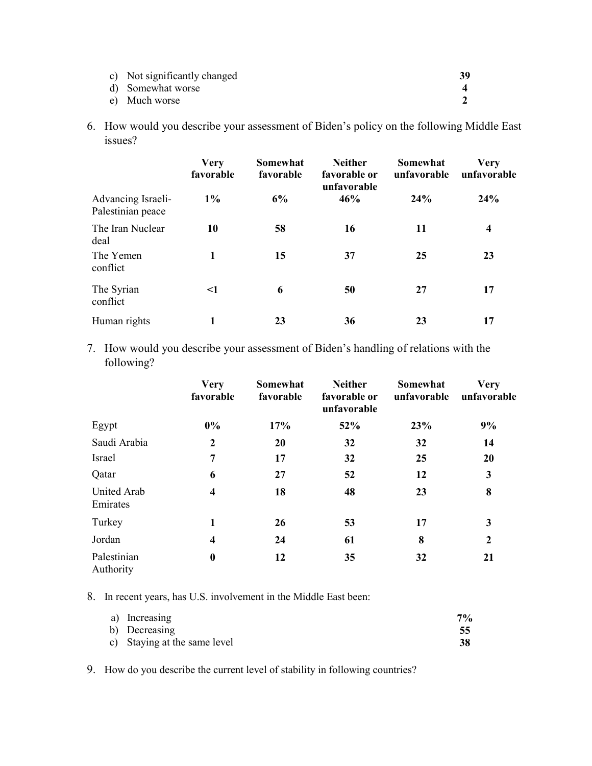| c) Not significantly changed |  |
|------------------------------|--|
| d) Somewhat worse            |  |
| e) Much worse                |  |

6. How would you describe your assessment of Biden's policy on the following Middle East issues?

|                                         | <b>Very</b><br>favorable | Somewhat<br>favorable | <b>Neither</b><br>favorable or<br>unfavorable | Somewhat<br>unfavorable | Verv<br>unfavorable     |
|-----------------------------------------|--------------------------|-----------------------|-----------------------------------------------|-------------------------|-------------------------|
| Advancing Israeli-<br>Palestinian peace | $1\%$                    | 6%                    | 46%                                           | 24%                     | 24%                     |
| The Iran Nuclear<br>deal                | 10                       | 58                    | 16                                            | 11                      | $\overline{\mathbf{4}}$ |
| The Yemen<br>conflict                   | 1                        | 15                    | 37                                            | 25                      | 23                      |
| The Syrian<br>conflict                  | $\leq$ 1                 | 6                     | 50                                            | 27                      | 17                      |
| Human rights                            |                          | 23                    | 36                                            | 23                      | 17                      |

7. How would you describe your assessment of Biden's handling of relations with the following?

|                          | <b>Very</b><br>favorable | Somewhat<br>favorable | <b>Neither</b><br>favorable or<br>unfavorable | Somewhat<br>unfavorable | <b>Very</b><br>unfavorable |
|--------------------------|--------------------------|-----------------------|-----------------------------------------------|-------------------------|----------------------------|
| Egypt                    | $0\%$                    | 17%                   | 52%                                           | 23%                     | 9%                         |
| Saudi Arabia             | $\boldsymbol{2}$         | <b>20</b>             | 32                                            | 32                      | 14                         |
| Israel                   | 7                        | 17                    | 32                                            | 25                      | 20                         |
| Qatar                    | 6                        | 27                    | 52                                            | 12                      | $\mathbf{3}$               |
| United Arab<br>Emirates  | $\overline{\mathbf{4}}$  | 18                    | 48                                            | 23                      | 8                          |
| Turkey                   | 1                        | 26                    | 53                                            | 17                      | 3                          |
| Jordan                   | $\overline{\mathbf{4}}$  | 24                    | 61                                            | 8                       | $\boldsymbol{2}$           |
| Palestinian<br>Authority | $\boldsymbol{0}$         | 12                    | 35                                            | 32                      | 21                         |

8. In recent years, has U.S. involvement in the Middle East been:

| a) Increasing                | 7% |
|------------------------------|----|
| b) Decreasing                |    |
| c) Staying at the same level | 38 |

9. How do you describe the current level of stability in following countries?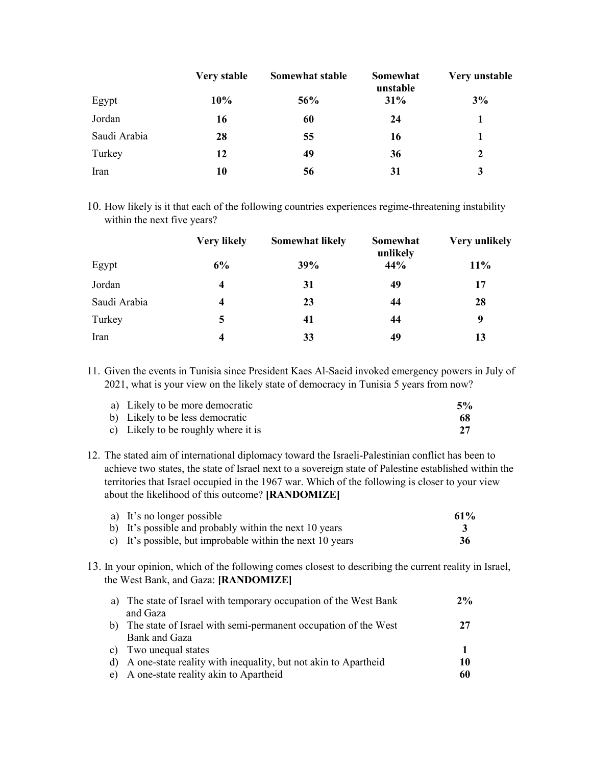|              | Very stable | Somewhat stable | Somewhat<br>unstable | Very unstable |
|--------------|-------------|-----------------|----------------------|---------------|
| Egypt        | 10%         | 56%             | 31%                  | 3%            |
| Jordan       | 16          | 60              | 24                   |               |
| Saudi Arabia | 28          | 55              | 16                   |               |
| Turkey       | 12          | 49              | 36                   | 2             |
| Iran         | 10          | 56              | 31                   |               |

10. How likely is it that each of the following countries experiences regime-threatening instability within the next five years?

|              | <b>Very likely</b> | <b>Somewhat likely</b> | Somewhat<br>unlikely | <b>Very unlikely</b> |
|--------------|--------------------|------------------------|----------------------|----------------------|
| Egypt        | 6%                 | 39%                    | 44%                  | 11%                  |
| Jordan       | 4                  | 31                     | 49                   | 17                   |
| Saudi Arabia | 4                  | 23                     | 44                   | 28                   |
| Turkey       | 5                  | 41                     | 44                   | 9                    |
| Iran         | 4                  | 33                     | 49                   | 13                   |

11. Given the events in Tunisia since President Kaes Al-Saeid invoked emergency powers in July of 2021, what is your view on the likely state of democracy in Tunisia 5 years from now?

| a) Likely to be more democratic     | 5% |
|-------------------------------------|----|
| b) Likely to be less democratic     | 68 |
| c) Likely to be roughly where it is |    |

12. The stated aim of international diplomacy toward the Israeli-Palestinian conflict has been to achieve two states, the state of Israel next to a sovereign state of Palestine established within the territories that Israel occupied in the 1967 war. Which of the following is closer to your view about the likelihood of this outcome? **[RANDOMIZE]**

| a) It's no longer possible                                | 61% |
|-----------------------------------------------------------|-----|
| b) It's possible and probably within the next 10 years    |     |
| c) It's possible, but improbable within the next 10 years | 36  |

13. In your opinion, which of the following comes closest to describing the current reality in Israel, the West Bank, and Gaza: **[RANDOMIZE]**

|    | a) The state of Israel with temporary occupation of the West Bank | 2% |
|----|-------------------------------------------------------------------|----|
|    | and Gaza                                                          |    |
|    | The state of Israel with semi-permanent occupation of the West    | 27 |
|    | Bank and Gaza                                                     |    |
|    | c) Two unequal states                                             |    |
| d) | A one-state reality with inequality, but not akin to Apartheid    | 10 |
| e) | A one-state reality akin to Apartheid                             | 60 |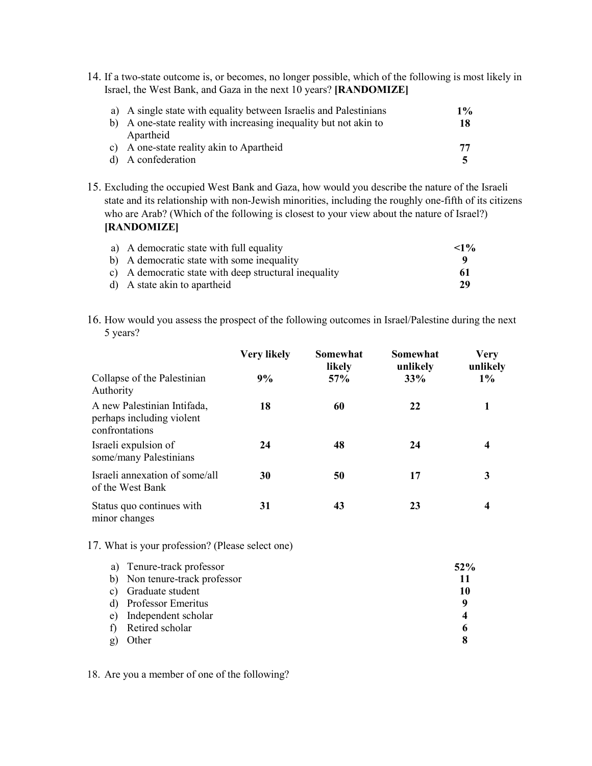14. If a two-state outcome is, or becomes, no longer possible, which of the following is most likely in Israel, the West Bank, and Gaza in the next 10 years? **[RANDOMIZE]**

| a) A single state with equality between Israelis and Palestinians | $1\%$ |
|-------------------------------------------------------------------|-------|
| b) A one-state reality with increasing inequality but not akin to | 18    |
| Apartheid                                                         |       |
| c) A one-state reality akin to Apartheid                          | 77    |
| d) A confederation                                                |       |

15. Excluding the occupied West Bank and Gaza, how would you describe the nature of the Israeli state and its relationship with non-Jewish minorities, including the roughly one-fifth of its citizens who are Arab? (Which of the following is closest to your view about the nature of Israel?) **[RANDOMIZE]**

| a) A democratic state with full equality              | <1% |
|-------------------------------------------------------|-----|
| b) A democratic state with some inequality            |     |
| c) A democratic state with deep structural inequality | -61 |
| d) A state akin to apartheid                          | 29  |

16. How would you assess the prospect of the following outcomes in Israel/Palestine during the next 5 years?

|                                                                            | <b>Very likely</b> | Somewhat<br>likely | Somewhat<br>unlikely | <b>Very</b><br>unlikely |
|----------------------------------------------------------------------------|--------------------|--------------------|----------------------|-------------------------|
| Collapse of the Palestinian<br>Authority                                   | 9%                 | $57\%$             | 33%                  | $1\%$                   |
| A new Palestinian Intifada,<br>perhaps including violent<br>confrontations | 18                 | 60                 | 22                   |                         |
| Israeli expulsion of<br>some/many Palestinians                             | 24                 | 48                 | 24                   | 4                       |
| Israeli annexation of some/all<br>of the West Bank                         | 30                 | 50                 | 17                   | 3                       |
| Status quo continues with<br>minor changes                                 | 31                 | 43                 | 23                   | 4                       |

17. What is your profession? (Please select one)

|    | a) Tenure-track professor     | $52\%$ |
|----|-------------------------------|--------|
|    | b) Non tenure-track professor | 11     |
| C) | Graduate student              | 10     |
|    | d) Professor Emeritus         | q      |
| e) | Independent scholar           |        |
|    | Retired scholar               | o      |
|    | Other                         |        |

18. Are you a member of one of the following?